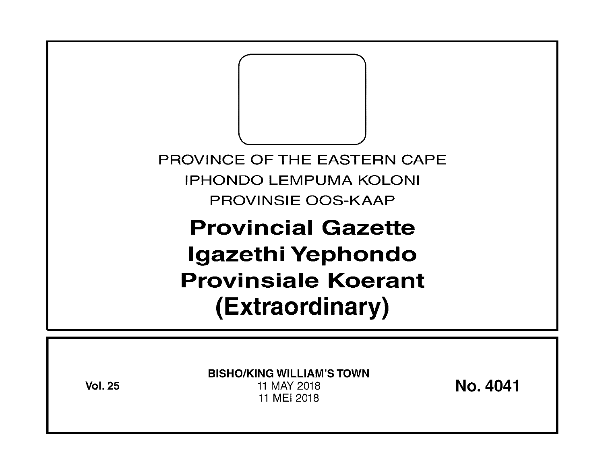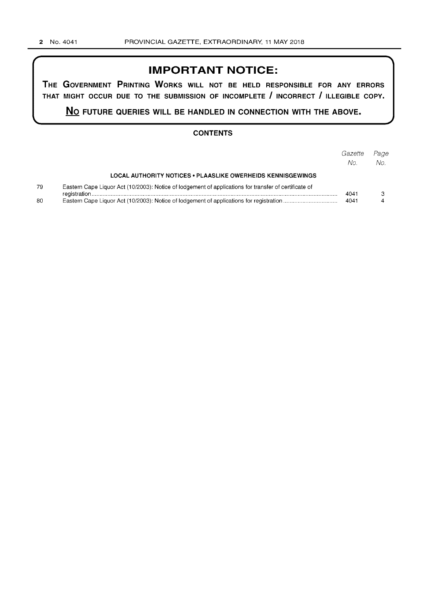## **IMPORTANT NOTICE:**

**THE GOVERNMENT PRINTING WORKS WILL NOT BE HELD RESPONSIBLE FOR ANY ERRORS THAT MIGHT OCCUR DUE TO THE SUBMISSION OF INCOMPLETE I INCORRECT I ILLEGIBLE COPY.** 

**No FUTURE QUERIES WILL BE HANDLED IN CONNECTION WITH THE ABOVE.** 

## **CONTENTS**

|          |                                                                                                       | Gazette<br>No. | Page<br>No. |
|----------|-------------------------------------------------------------------------------------------------------|----------------|-------------|
|          | <b>LOCAL AUTHORITY NOTICES • PLAASLIKE OWERHEIDS KENNISGEWINGS</b>                                    |                |             |
| 79<br>80 | Eastern Cape Liquor Act (10/2003): Notice of lodgement of applications for transfer of certificate of |                |             |
|          |                                                                                                       | 4041           |             |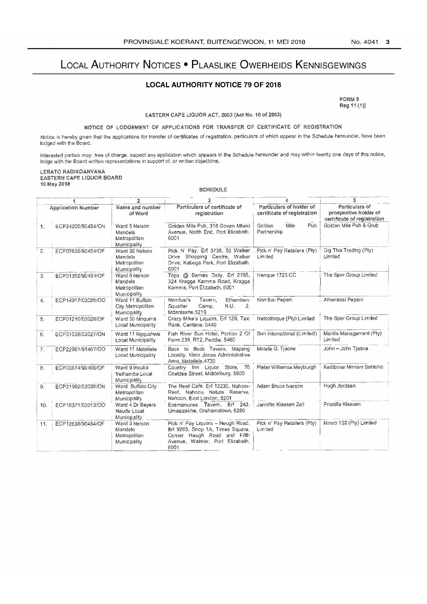# LOCAL AUTHORITY NOTICES . PLAASLIKE OWERHEIDS KENNISGEWINGS

## **LOCAL AUTHORITY NOTICE 79 OF 2018**

FORM 9 Reg 11 (1)]

EASTERN CAPE LIQUOR ACT, 2003 (Act No. 10 of 2003)

#### NOTICE OF LODGEMENT OF APPLICATIONS FOR TRANSFER OF CERTIFICATE OF REGISTRATION

Notice is hereby given that the applications for transfer of certificates of registration, particulars of which appear in the Schedule hereunder, have been lodged with the Board.

Interested parties may, free of charge, inspect any application which appears in the Schedule hereunder and may within twenty one days of this notice, lodge with the Board written representations in support of, or written objections.

#### LERATO RADIKOANYANA EASTERN CAPE LIQUOR BOARD 10 May 2018

SCHEDULE

|     |                           | $\overline{2}$                                            |                                                                                                                                                 |                                                         | 5                                                                      |
|-----|---------------------------|-----------------------------------------------------------|-------------------------------------------------------------------------------------------------------------------------------------------------|---------------------------------------------------------|------------------------------------------------------------------------|
|     | <b>Application Number</b> | Name and number<br>of Ward                                | Particulars of certificate of<br>registration                                                                                                   | Particulars of holder of<br>certificate of registration | Particulars of<br>prospective holder of<br>certificate of registration |
|     | ECP24200/90454/ON         | Ward 5 Nelson<br>Mandela<br>Metropolitan<br>Municipality  | Golden Mile Pub, 318 Govan Mbeki<br>Avenue, North End, Port Elizabeth,<br>6001                                                                  | Pub<br>Golden<br>Mile<br>Partnership                    | Golden Mile Pub & Grub                                                 |
| 2.  | ECP07635/90454/OF         | Ward 36 Nelson<br>Mandela<br>Metropolitan<br>Municipality | Pick N' Pay, Erf 3738, 50 Walker<br>Drive Shopping Centre, Walker<br>Drive, Kabega Park, Port Elizabeth,<br>6001                                | Pick n' Pay Retailers (Pty)<br>Limited                  | Dig This Trading (Pty)<br>Limited                                      |
| 3.  | ECP01352/90454/OF         | Ward 8 Nelson<br>Mandela<br>Metropolitan<br>Municipality  | Tops @ Bames Daily, Erf 2785,<br>324 Kragga Kamma Road, Kragga<br>Kamma, Port Elizabeth, 6001                                                   | Hengue 1723 CC                                          | The Spar Group Limited                                                 |
| 4.  | ECP14917/03026/OO         | Ward 11 Buffalo<br>City Metropolitan<br>Municipality      | Ethembeni<br>Nomfusi's<br>Tavern.<br>N.U.<br>Squatter<br>Camp,<br>2.<br>Mdantsane, 5219                                                         | Nomfusi Pepani                                          | Athenkosi Pepani                                                       |
| 5.  | ECP01210/03026/OF         | Ward 30 Mnguma<br>Local Municipality                      | Crazy Mike's Liquors, Erf 129, Taxi   Netcotorque (Pty) Limited<br>Rank, Centane, 5440                                                          |                                                         | The Spar Group Limited                                                 |
| 6.  | ECP01038/03027/ON         | Ward 11 Nggushwa<br>Local Municipality                    | Fish River Sun Hotel, Portion 2 Of<br>Farm 235, R72, Peddie, 5460                                                                               | Sun International (Limited)                             | Mantis Management (Pty)<br>Limited                                     |
| 7.  | ECP22961/91467/OO         | Ward 11 Matatiele<br>Local Municipality                   | Back to Back Tavern, Mapeng<br>Locality, Klein Jonas Administrative<br>Area, Matatiele, 4730                                                    | Molefe G. Tjaone                                        | John - John Tjaone                                                     |
| 8.  | ECP00674/90466/OF         | Ward 9 Inxuba<br>Yethemba Local<br>Municipality           | Country Inn Liquor Store, 70<br>Coetzee Street, Middelburg, 5900                                                                                | Pieter Willemse Meyburgh                                | Kedibone Mirriam Sehloho                                               |
| 9.  | ECP21992/03026/ON         | Ward Buffalo City<br>Metropolitan<br>Municipality         | The Reef Café, Erf 12230, Nahoon<br>Reef, Nahoon Nature Reserve,<br>Nahoon, East London, 5201                                                   | Adam Bruce Iverson                                      | Hugh Jordaan                                                           |
| 10. | ECP18371/03013/OO         | Ward 4 Dr Beyers<br>Naude Local<br>Municipality           | Ezamanunes Tavern, Erf 243,<br>Umasizakhe, Grahamstown, 6280                                                                                    | Jennifer Klaasen Zali                                   | Priscilla Klaasen                                                      |
| 11. | ECP12638/90454/OF         | Ward 3 Nelson<br>Mandela<br>Metropolitan<br>Municipality  | Pick n' Pay Liquors - Heugh Road,<br>Erf 9265, Shop 1A, Times Square,<br>Corner Heugh Road and Fifth<br>Avenue, Walmer, Port Elizabeth,<br>6001 | Pick n' Pay Retailers (Pty)<br>Limited                  | Nimro 152 (Pty) Limited                                                |